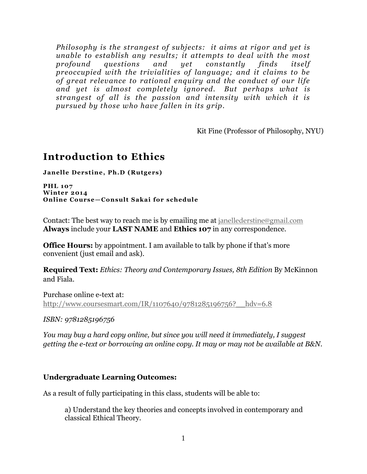*Philosophy is the strangest of subjects: it aims at rigor and yet is unable to establish any results; it attempts to deal with the most profound questions and yet constantly finds itself preoccupied with the trivialities of language; and it claims to be of great relevance to rational enquiry and the conduct of our life and yet is almost completely ignored. But perhaps what is strangest of all is the passion and intensity with which it is pursued by those who have fallen in its grip.* 

Kit Fine (Professor of Philosophy, NYU)

# **Introduction to Ethics**

**Janelle Derstine, Ph.D (Rutgers)**

**PHL 107 Winter 2014 Online Course—Consult Sakai for schedule**

Contact: The best way to reach me is by emailing me at [janellederstine@gmail.com](mailto:janellederstine@gmail.com)  **Always** include your **LAST NAME** and **Ethics 107** in any correspondence.

**Office Hours:** by appointment. I am available to talk by phone if that's more convenient (just email and ask).

**Required Text:** *Ethics: Theory and Contemporary Issues, 8th Edition* By McKinnon and Fiala.

Purchase online e-text at: http://www.coursesmart.com/IR/1107640/9781285196756? hdv=6.8

*ISBN: 9781285196756*

*You may buy a hard copy online, but since you will need it immediately, I suggest getting the e-text or borrowing an online copy. It may or may not be available at B&N.* 

### **Undergraduate Learning Outcomes:**

As a result of fully participating in this class, students will be able to:

a) Understand the key theories and concepts involved in contemporary and classical Ethical Theory.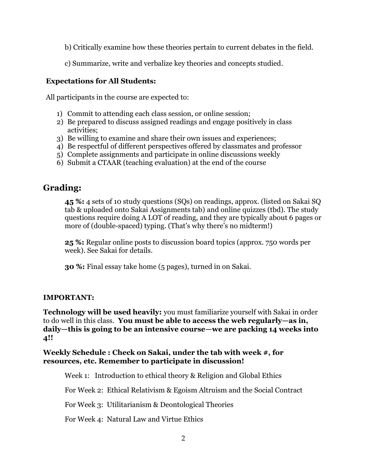- b) Critically examine how these theories pertain to current debates in the field.
- c) Summarize, write and verbalize key theories and concepts studied.

#### **Expectations for All Students:**

All participants in the course are expected to:

- 1) Commit to attending each class session, or online session;
- 2) Be prepared to discuss assigned readings and engage positively in class activities;
- 3) Be willing to examine and share their own issues and experiences;
- 4) Be respectful of different perspectives offered by classmates and professor
- 5) Complete assignments and participate in online discussions weekly
- 6) Submit a CTAAR (teaching evaluation) at the end of the course

# **Grading:**

**45 %:** 4 sets of 10 study questions (SQs) on readings, approx. (listed on Sakai SQ tab & uploaded onto Sakai Assignments tab) and online quizzes (tbd). The study questions require doing A LOT of reading, and they are typically about 6 pages or more of (double-spaced) typing. (That's why there's no midterm!)

**25 %:** Regular online posts to discussion board topics (approx. 750 words per week). See Sakai for details.

**30 %:** Final essay take home (5 pages), turned in on Sakai.

## **IMPORTANT:**

**Technology will be used heavily:** you must familiarize yourself with Sakai in order to do well in this class. **You must be able to access the web regularly—as in, daily—this is going to be an intensive course—we are packing 14 weeks into 4!!**

### **Weekly Schedule : Check on Sakai, under the tab with week #, for resources, etc. Remember to participate in discussion!**

Week 1: Introduction to ethical theory & Religion and Global Ethics

For Week 2: Ethical Relativism & Egoism Altruism and the Social Contract

For Week 3: Utilitarianism & Deontological Theories

For Week 4: Natural Law and Virtue Ethics